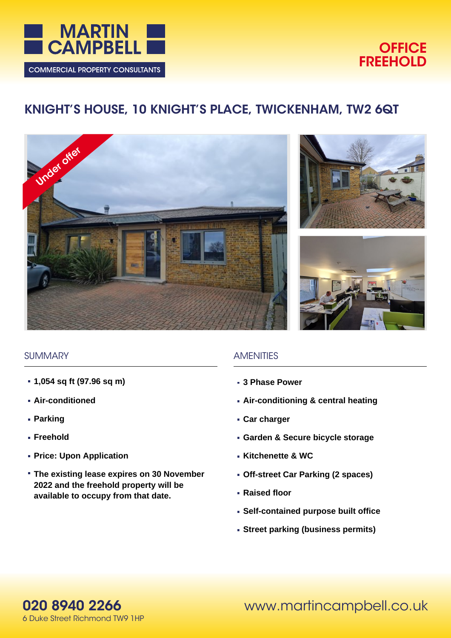

# **OFFICE FREEHOLD**

# **KNIGHT'S HOUSE, 10 KNIGHT'S PLACE, TWICKENHAM, TW2 6QT**







## **SUMMARY**

- **1,054 sq ft (97.96 sq m)**
- **Air-conditioned**
- **Parking**
- **Freehold**
- **Price: Upon Application**
- **The existing lease expires on 30 November 2022 and the freehold property will be available to occupy from that date.**

## **AMENITIES**

- **3 Phase Power**
- **Air-conditioning & central heating**
- **Car charger**
- **Garden & Secure bicycle storage**
- **Kitchenette & WC**
- **Off-street Car Parking (2 spaces)**
- **Raised floor**
- **Self-contained purpose built office**
- **Street parking (business permits)**

www.martincampbell.co.uk

**020 8940 2266** 6 Duke Street Richmond TW9 1HP